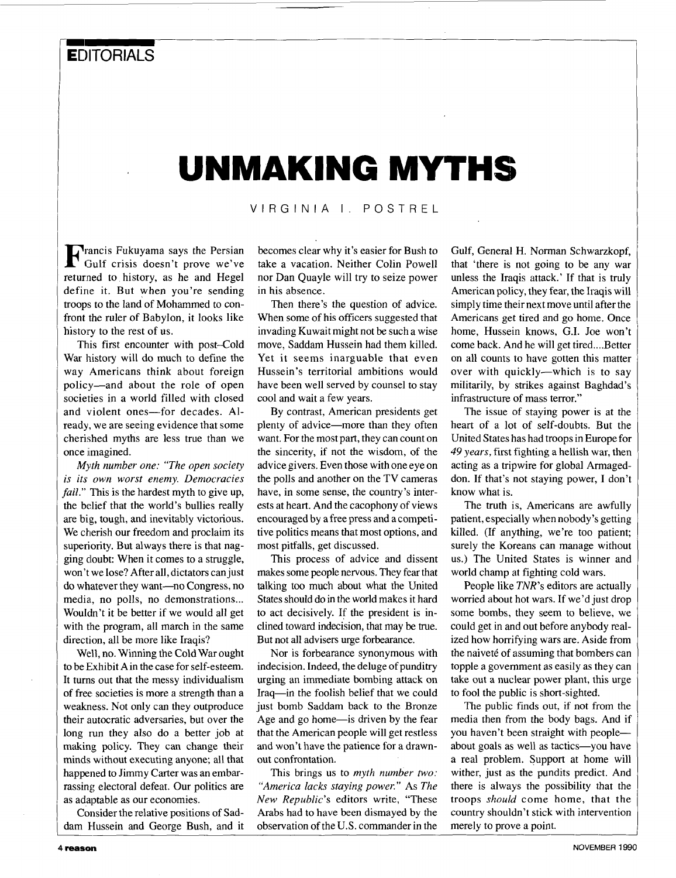## **UNMAKING MYTHS**

VIRGINIA I. POSTREL

rancis Fukuyama says the Persian **F** Gulf crisis doesn't prove we've returned to history, as he and Hegel define it. But when you're sending troops to the land of Mohammed to confront the ruler of Babylon, it looks like history to the rest of us.

This first encounter with post-Cold War history will do much to define the way Americans think about foreign policy-and about the role of open societies in a world filled with closed and violent ones-for decades. Already, we are seeing evidence that some cherished myths are less true than we once imagined.

*Myth number one: "The open society is its own worst enemy. Democracies fail."* This is the hardest myth to give up, the belief that the world's bullies really are big, tough, and inevitably victorious. We cherish our freedom and proclaim its superiority. But always there is that nagging doubt: When it comes to a struggle, won't we lose? After all, dictators can just do whatever they want-no Congress, no media, no polls, no demonstrations... Wouldn't it be better if we would all get with the program, all march in the same direction, all be more like Iraqis?

Well, no. Winning the Cold War ought to be Exhibit A in the case for self-esteem. It turns out that the messy individualism of free societies is more a strength than a weakness. Not only can they outproduce their autocratic adversaries, but over the long run they also do a better job at making policy. They can change their minds without executing anyone; all that happened to Jimmy Carter was an embarrassing electoral defeat. Our politics are as adaptable as our economies.

Consider the relative positions of Saddam Hussein and George Bush, and it becomes clear why it's easier for Bush to take a vacation. Neither Colin Powell nor Dan Quayle will try to seize power in his absence.

Then there's the question of advice. When some of his officers suggested that invading Kuwait might not be such a wise move, Saddam Hussein had them killed. Yet it seems inarguable that even Hussein's territorial ambitions would have been well served by counsel to stay cool and wait a few years.

By contrast, American presidents get plenty of advice-more than they often want. For the most part, they can count on the sincerity, if not the wisdom, of the advice givers. Even those with one eye on the polls and another on the TV cameras have, in some sense, the country's interests at heart. And the cacophony of views encouraged by a free press and a competitive politics means that most options, and most pitfalls, get discussed.

This process of advice and dissent makes some people nervous. They fear that talking too much about what the United States should do in the world makes it hard to act decisively. If the president is inclined toward indecision, that may be true. But not all advisers urge forbearance.

Nor is forbearance synonymous with indecision. Indeed, the deluge of punditry urging an immediate bombing attack on Iraq-in the foolish belief that we could just bomb Saddam back to the Bronze Age and go home-is driven by the fear that the American people will get restless and won't have the patience for a drawnout confrontation.

This brings us to *myth number two: "America lacks staying power."* As *The New Republic's* editors write, "These Arabs had to have been dismayed by the observation of the U.S. commander in the

Gulf, General H. Norman Schwarzkopf, that 'there is not going to be any war unless the Iraqis attack.' If that is truly American policy, they fear, the Iraqis will simply time their next move until after the Americans get tired and go home. Once home, Hussein knows, G.I. Joe won't come back. And he will get tired....Better on all counts to have gotten this matter over with quickly-which is to say militarily, by strikes against Baghdad's infrastructure of mass terror."

The issue of staying power is at the heart of a lot of self-doubts. But the United States has had troops in Europe for *49 years,* first fighting a hellish war, then acting as a tripwire for global Armageddon. If that's not staying power, I don't know what is.

The truth is, Americans are awfully patient, especially when nobody's getting killed. (If anything, we're too patient; surely the Koreans can manage without us.) The United States is winner and world champ at fighting cold wars.

People like *TNR's* editors are actually worried about hot wars. If we'd just drop some bombs, they seem to believe, we could get in and out before anybody realized how horrifying wars are. Aside from the naiveté of assuming that bombers can topple a government as easily as they can take out a nuclear power plant, this urge to fool the public is short-sighted.

The public finds out, if not from the media then from the body bags. And if you haven't been straight with peopleabout goals as well as tactics-you have a real problem. Support at home will wither, just as the pundits predict. And there is always the possibility that the troops *should* come home, that the country shouldn't stick with intervention merely to prove a point.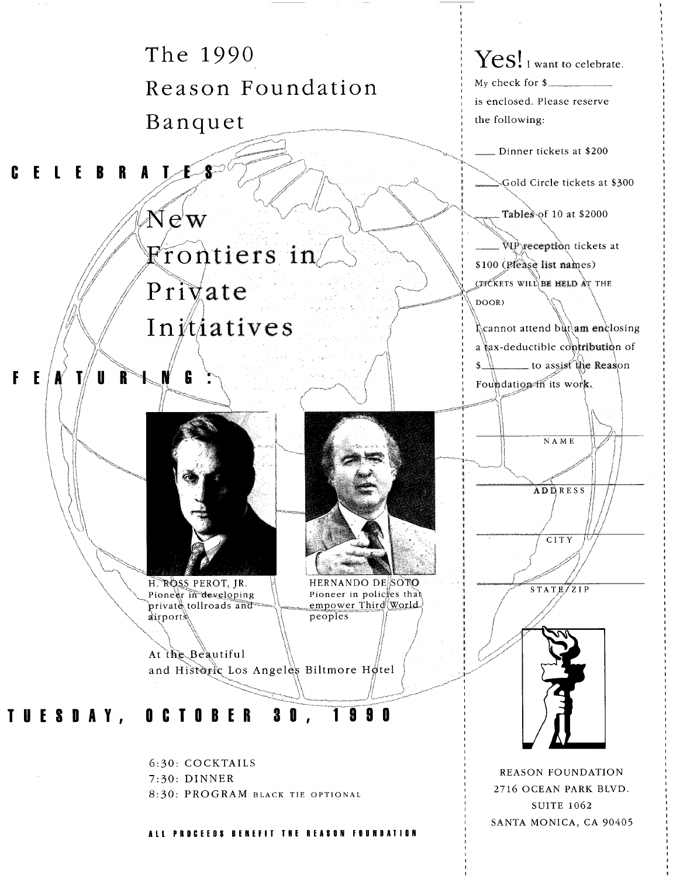